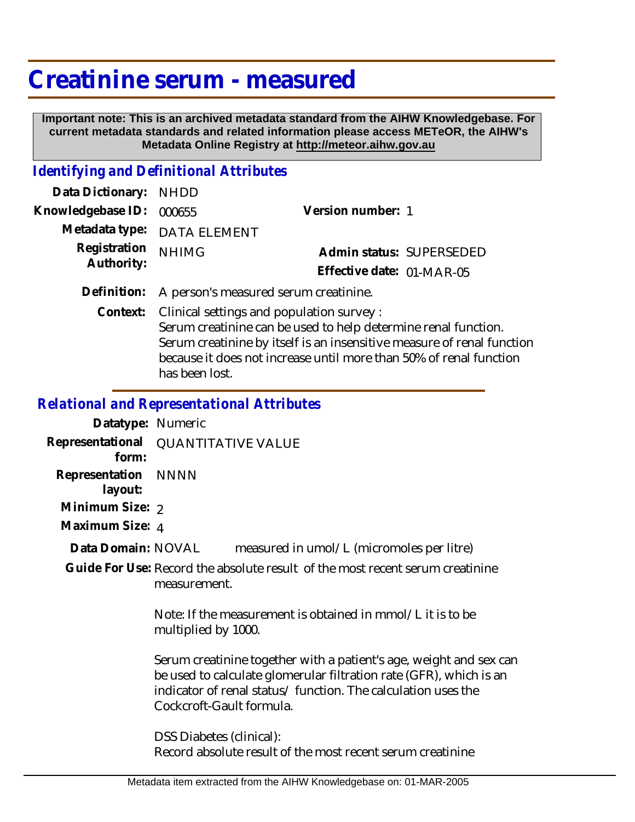## **Creatinine serum - measured**

 **Important note: This is an archived metadata standard from the AIHW Knowledgebase. For current metadata standards and related information please access METeOR, the AIHW's Metadata Online Registry at http://meteor.aihw.gov.au**

## *Identifying and Definitional Attributes*

| Data Dictionary:           | <b>NHDD</b>                                                                                                                                                                                                                                                |                           |  |
|----------------------------|------------------------------------------------------------------------------------------------------------------------------------------------------------------------------------------------------------------------------------------------------------|---------------------------|--|
| Knowledgebase ID:          | 000655                                                                                                                                                                                                                                                     | Version number: 1         |  |
| Metadata type:             | <b>DATA ELEMENT</b>                                                                                                                                                                                                                                        |                           |  |
| Registration<br>Authority: | <b>NHIMG</b>                                                                                                                                                                                                                                               | Admin status: SUPERSEDED  |  |
|                            |                                                                                                                                                                                                                                                            | Effective date: 01-MAR-05 |  |
| Definition:                | A person's measured serum creatinine.                                                                                                                                                                                                                      |                           |  |
| Context:                   | Clinical settings and population survey:<br>Serum creatinine can be used to help determine renal function.<br>Serum creatinine by itself is an insensitive measure of renal function<br>because it does not increase until more than 50% of renal function |                           |  |

has been lost.

*Relational and Representational Attributes*

**Datatype:** Numeric **Representational** QUANTITATIVE VALUE  **form: Representation** NNNN  **layout: Minimum Size: 2 Maximum Size:** 4 measured in umol/L (micromoles per litre) Guide For Use: Record the absolute result of the most recent serum creatinine measurement. Note: If the measurement is obtained in mmol/L it is to be multiplied by 1000. Serum creatinine together with a patient's age, weight and sex can be used to calculate glomerular filtration rate (GFR), which is an indicator of renal status/ function. The calculation uses the Cockcroft-Gault formula. DSS Diabetes (clinical): Record absolute result of the most recent serum creatinine **Data Domain:**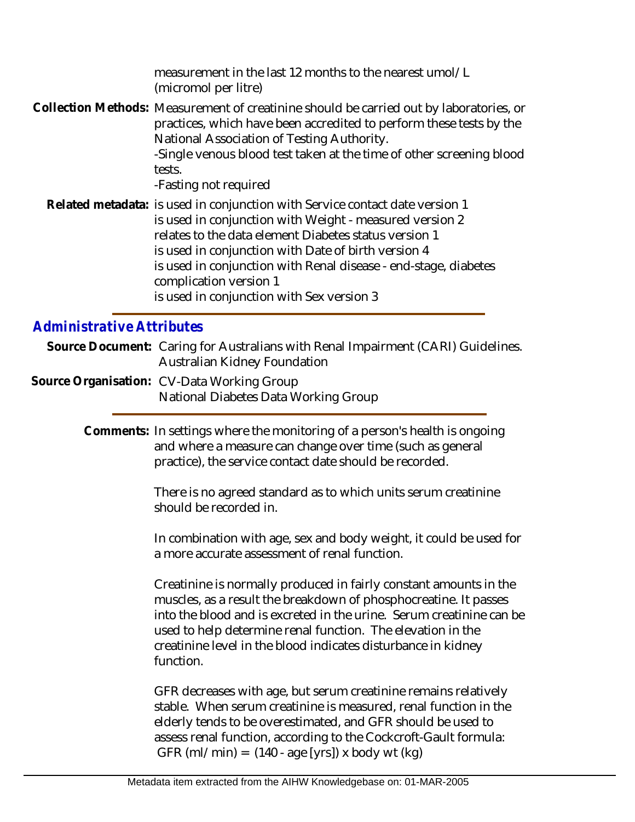measurement in the last 12 months to the nearest umol/L (micromol per litre) Collection Methods: Measurement of creatinine should be carried out by laboratories, or practices, which have been accredited to perform these tests by the National Association of Testing Authority. -Single venous blood test taken at the time of other screening blood tests. -Fasting not required Related metadata: is used in conjunction with Service contact date version 1 is used in conjunction with Weight - measured version 2 relates to the data element Diabetes status version 1 is used in conjunction with Date of birth version 4 is used in conjunction with Renal disease - end-stage, diabetes complication version 1 is used in conjunction with Sex version 3

## *Administrative Attributes*

Source Document: Caring for Australians with Renal Impairment (CARI) Guidelines. Australian Kidney Foundation

Source Organisation: CV-Data Working Group National Diabetes Data Working Group

> Comments: In settings where the monitoring of a person's health is ongoing and where a measure can change over time (such as general practice), the service contact date should be recorded.

> > There is no agreed standard as to which units serum creatinine should be recorded in.

In combination with age, sex and body weight, it could be used for a more accurate assessment of renal function.

Creatinine is normally produced in fairly constant amounts in the muscles, as a result the breakdown of phosphocreatine. It passes into the blood and is excreted in the urine. Serum creatinine can be used to help determine renal function. The elevation in the creatinine level in the blood indicates disturbance in kidney function.

GFR decreases with age, but serum creatinine remains relatively stable. When serum creatinine is measured, renal function in the elderly tends to be overestimated, and GFR should be used to assess renal function, according to the Cockcroft-Gault formula: GFR (ml/min) =  $(140 - age [yrs])$  x body wt  $(kg)$